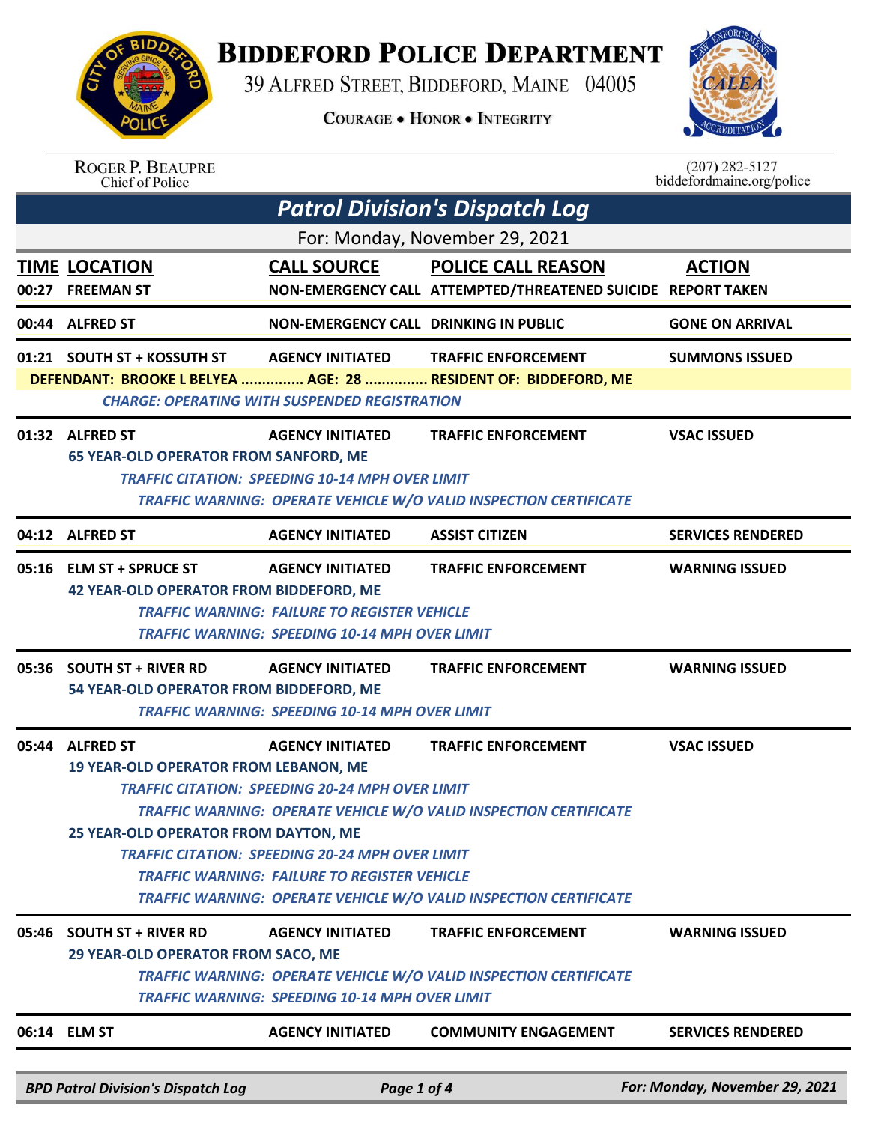

## **BIDDEFORD POLICE DEPARTMENT**

39 ALFRED STREET, BIDDEFORD, MAINE 04005

**COURAGE . HONOR . INTEGRITY** 



| <b>ROGER P. BEAUPRE</b> |
|-------------------------|
| Chief of Police         |

 $(207)$  282-5127<br>biddefordmaine.org/police

|       | <b>Patrol Division's Dispatch Log</b>                                                                                                                                                                                                                                        |                                                                                                                                                                                                    |                                                                                                                                                                             |                                |  |  |
|-------|------------------------------------------------------------------------------------------------------------------------------------------------------------------------------------------------------------------------------------------------------------------------------|----------------------------------------------------------------------------------------------------------------------------------------------------------------------------------------------------|-----------------------------------------------------------------------------------------------------------------------------------------------------------------------------|--------------------------------|--|--|
|       | For: Monday, November 29, 2021                                                                                                                                                                                                                                               |                                                                                                                                                                                                    |                                                                                                                                                                             |                                |  |  |
|       | <b>TIME LOCATION</b><br>00:27 FREEMAN ST                                                                                                                                                                                                                                     | <b>CALL SOURCE</b>                                                                                                                                                                                 | <b>POLICE CALL REASON</b><br>NON-EMERGENCY CALL ATTEMPTED/THREATENED SUICIDE REPORT TAKEN                                                                                   | <b>ACTION</b>                  |  |  |
|       | 00:44 ALFRED ST                                                                                                                                                                                                                                                              | <b>NON-EMERGENCY CALL DRINKING IN PUBLIC</b>                                                                                                                                                       |                                                                                                                                                                             | <b>GONE ON ARRIVAL</b>         |  |  |
|       | 01:21 SOUTH ST + KOSSUTH ST                                                                                                                                                                                                                                                  | <b>AGENCY INITIATED</b><br><b>CHARGE: OPERATING WITH SUSPENDED REGISTRATION</b>                                                                                                                    | <b>TRAFFIC ENFORCEMENT</b><br>DEFENDANT: BROOKE L BELYEA  AGE: 28  RESIDENT OF: BIDDEFORD, ME                                                                               | <b>SUMMONS ISSUED</b>          |  |  |
|       | 01:32 ALFRED ST<br><b>65 YEAR-OLD OPERATOR FROM SANFORD, ME</b>                                                                                                                                                                                                              | <b>AGENCY INITIATED</b><br><b>TRAFFIC CITATION: SPEEDING 10-14 MPH OVER LIMIT</b>                                                                                                                  | <b>TRAFFIC ENFORCEMENT</b><br>TRAFFIC WARNING: OPERATE VEHICLE W/O VALID INSPECTION CERTIFICATE                                                                             | <b>VSAC ISSUED</b>             |  |  |
|       | 04:12 ALFRED ST                                                                                                                                                                                                                                                              | <b>AGENCY INITIATED</b>                                                                                                                                                                            | <b>ASSIST CITIZEN</b>                                                                                                                                                       | <b>SERVICES RENDERED</b>       |  |  |
|       | 05:16 ELM ST + SPRUCE ST<br><b>TRAFFIC ENFORCEMENT</b><br><b>AGENCY INITIATED</b><br><b>WARNING ISSUED</b><br><b>42 YEAR-OLD OPERATOR FROM BIDDEFORD, ME</b><br><b>TRAFFIC WARNING: FAILURE TO REGISTER VEHICLE</b><br><b>TRAFFIC WARNING: SPEEDING 10-14 MPH OVER LIMIT</b> |                                                                                                                                                                                                    |                                                                                                                                                                             |                                |  |  |
|       | 05:36 SOUTH ST + RIVER RD<br>54 YEAR-OLD OPERATOR FROM BIDDEFORD, ME                                                                                                                                                                                                         | <b>AGENCY INITIATED</b><br><b>TRAFFIC WARNING: SPEEDING 10-14 MPH OVER LIMIT</b>                                                                                                                   | <b>TRAFFIC ENFORCEMENT</b>                                                                                                                                                  | <b>WARNING ISSUED</b>          |  |  |
|       | 05:44 ALFRED ST<br>19 YEAR-OLD OPERATOR FROM LEBANON, ME<br>25 YEAR-OLD OPERATOR FROM DAYTON, ME                                                                                                                                                                             | <b>AGENCY INITIATED</b><br><b>TRAFFIC CITATION: SPEEDING 20-24 MPH OVER LIMIT</b><br><b>TRAFFIC CITATION: SPEEDING 20-24 MPH OVER LIMIT</b><br><b>TRAFFIC WARNING: FAILURE TO REGISTER VEHICLE</b> | <b>TRAFFIC ENFORCEMENT</b><br><b>TRAFFIC WARNING: OPERATE VEHICLE W/O VALID INSPECTION CERTIFICATE</b><br>TRAFFIC WARNING: OPERATE VEHICLE W/O VALID INSPECTION CERTIFICATE | <b>VSAC ISSUED</b>             |  |  |
| 05:46 | <b>SOUTH ST + RIVER RD</b><br>29 YEAR-OLD OPERATOR FROM SACO, ME                                                                                                                                                                                                             | <b>AGENCY INITIATED</b><br><b>TRAFFIC WARNING: SPEEDING 10-14 MPH OVER LIMIT</b>                                                                                                                   | <b>TRAFFIC ENFORCEMENT</b><br>TRAFFIC WARNING: OPERATE VEHICLE W/O VALID INSPECTION CERTIFICATE                                                                             | <b>WARNING ISSUED</b>          |  |  |
|       | 06:14 ELM ST                                                                                                                                                                                                                                                                 | <b>AGENCY INITIATED</b>                                                                                                                                                                            | <b>COMMUNITY ENGAGEMENT</b>                                                                                                                                                 | <b>SERVICES RENDERED</b>       |  |  |
|       | <b>BPD Patrol Division's Dispatch Log</b>                                                                                                                                                                                                                                    | Page 1 of 4                                                                                                                                                                                        |                                                                                                                                                                             | For: Monday, November 29, 2021 |  |  |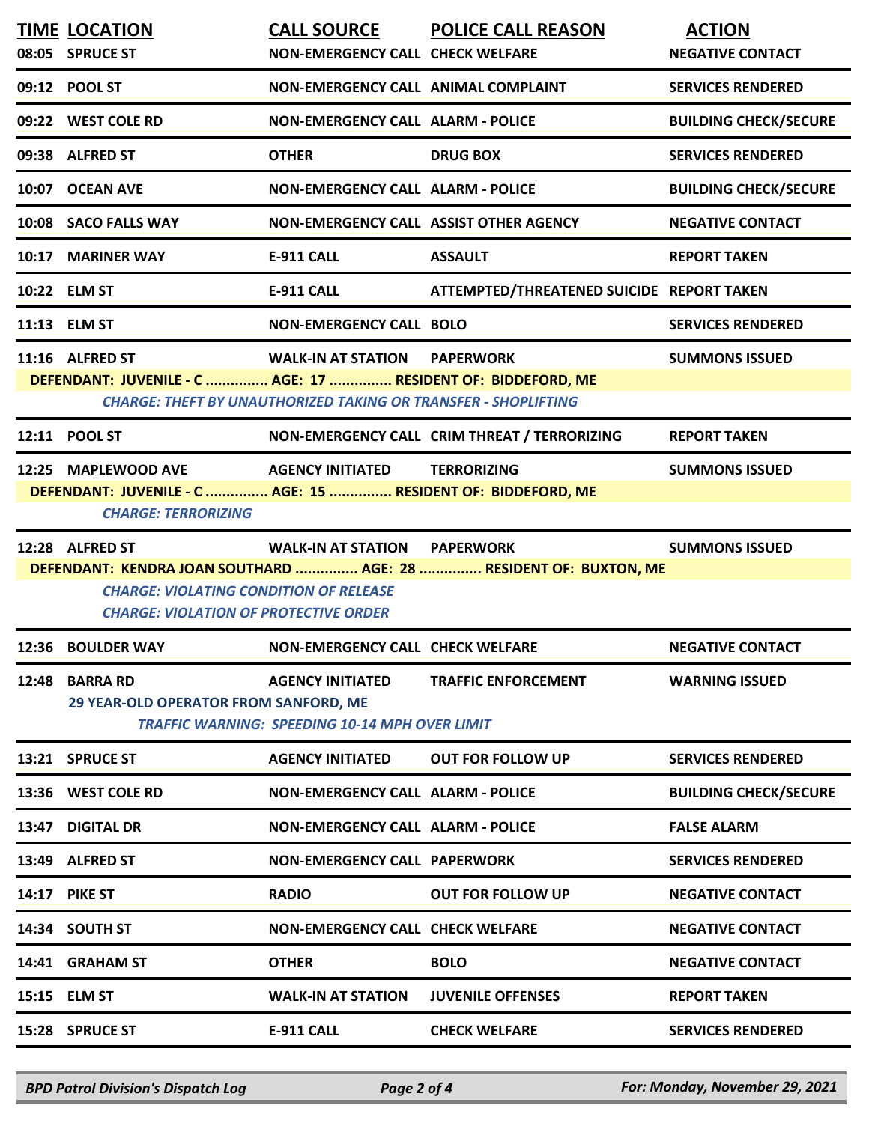| <b>TIME LOCATION</b>                                                                          | <b>CALL SOURCE</b>                                                    | <b>POLICE CALL REASON</b>                                         | <b>ACTION</b>                |
|-----------------------------------------------------------------------------------------------|-----------------------------------------------------------------------|-------------------------------------------------------------------|------------------------------|
| 08:05 SPRUCE ST                                                                               | <b>NON-EMERGENCY CALL CHECK WELFARE</b>                               |                                                                   | <b>NEGATIVE CONTACT</b>      |
| 09:12 POOL ST                                                                                 | NON-EMERGENCY CALL ANIMAL COMPLAINT                                   |                                                                   | <b>SERVICES RENDERED</b>     |
| 09:22 WEST COLE RD                                                                            | <b>NON-EMERGENCY CALL ALARM - POLICE</b>                              |                                                                   | <b>BUILDING CHECK/SECURE</b> |
| 09:38 ALFRED ST                                                                               | <b>OTHER</b>                                                          | <b>DRUG BOX</b>                                                   | <b>SERVICES RENDERED</b>     |
| 10:07 OCEAN AVE                                                                               | <b>NON-EMERGENCY CALL ALARM - POLICE</b>                              |                                                                   | <b>BUILDING CHECK/SECURE</b> |
| 10:08 SACO FALLS WAY                                                                          | NON-EMERGENCY CALL ASSIST OTHER AGENCY                                |                                                                   | <b>NEGATIVE CONTACT</b>      |
| 10:17 MARINER WAY                                                                             | <b>E-911 CALL</b>                                                     | <b>ASSAULT</b>                                                    | <b>REPORT TAKEN</b>          |
| 10:22 ELM ST                                                                                  | <b>E-911 CALL</b>                                                     | ATTEMPTED/THREATENED SUICIDE REPORT TAKEN                         |                              |
| 11:13 ELM ST                                                                                  | <b>NON-EMERGENCY CALL BOLO</b>                                        |                                                                   | <b>SERVICES RENDERED</b>     |
| 11:16 ALFRED ST                                                                               | <b>WALK-IN AT STATION PAPERWORK</b>                                   |                                                                   | <b>SUMMONS ISSUED</b>        |
| DEFENDANT: JUVENILE - C  AGE: 17  RESIDENT OF: BIDDEFORD, ME                                  |                                                                       |                                                                   |                              |
|                                                                                               | <b>CHARGE: THEFT BY UNAUTHORIZED TAKING OR TRANSFER - SHOPLIFTING</b> |                                                                   |                              |
| 12:11 POOL ST                                                                                 |                                                                       | NON-EMERGENCY CALL CRIM THREAT / TERRORIZING                      | <b>REPORT TAKEN</b>          |
| 12:25 MAPLEWOOD AVE                                                                           | <b>AGENCY INITIATED</b>                                               | <b>TERRORIZING</b>                                                | <b>SUMMONS ISSUED</b>        |
| DEFENDANT: JUVENILE - C  AGE: 15  RESIDENT OF: BIDDEFORD, ME                                  |                                                                       |                                                                   |                              |
| <b>CHARGE: TERRORIZING</b>                                                                    |                                                                       |                                                                   |                              |
| 12:28 ALFRED ST                                                                               | <b>WALK-IN AT STATION PAPERWORK</b>                                   |                                                                   | <b>SUMMONS ISSUED</b>        |
|                                                                                               |                                                                       | DEFENDANT: KENDRA JOAN SOUTHARD  AGE: 28  RESIDENT OF: BUXTON, ME |                              |
| <b>CHARGE: VIOLATING CONDITION OF RELEASE</b><br><b>CHARGE: VIOLATION OF PROTECTIVE ORDER</b> |                                                                       |                                                                   |                              |
| 12:36 BOULDER WAY                                                                             | <b>NON-EMERGENCY CALL CHECK WELFARE</b>                               |                                                                   | <b>NEGATIVE CONTACT</b>      |
| 12:48 BARRA RD                                                                                | <b>AGENCY INITIATED</b>                                               | <b>TRAFFIC ENFORCEMENT</b>                                        | <b>WARNING ISSUED</b>        |
| <b>29 YEAR-OLD OPERATOR FROM SANFORD, ME</b>                                                  |                                                                       |                                                                   |                              |
|                                                                                               | <b>TRAFFIC WARNING: SPEEDING 10-14 MPH OVER LIMIT</b>                 |                                                                   |                              |
| 13:21 SPRUCE ST                                                                               | <b>AGENCY INITIATED</b>                                               | <b>OUT FOR FOLLOW UP</b>                                          | <b>SERVICES RENDERED</b>     |
| 13:36 WEST COLE RD                                                                            | <b>NON-EMERGENCY CALL ALARM - POLICE</b>                              |                                                                   | <b>BUILDING CHECK/SECURE</b> |
| 13:47 DIGITAL DR                                                                              | <b>NON-EMERGENCY CALL ALARM - POLICE</b>                              |                                                                   | <b>FALSE ALARM</b>           |
| 13:49 ALFRED ST                                                                               | <b>NON-EMERGENCY CALL PAPERWORK</b>                                   |                                                                   | <b>SERVICES RENDERED</b>     |
| <b>14:17 PIKE ST</b>                                                                          | <b>RADIO</b>                                                          | <b>OUT FOR FOLLOW UP</b>                                          | <b>NEGATIVE CONTACT</b>      |
| 14:34 SOUTH ST                                                                                | <b>NON-EMERGENCY CALL CHECK WELFARE</b>                               |                                                                   | <b>NEGATIVE CONTACT</b>      |
| 14:41 GRAHAM ST                                                                               | <b>OTHER</b>                                                          | <b>BOLO</b>                                                       | <b>NEGATIVE CONTACT</b>      |
| 15:15 ELM ST                                                                                  | <b>WALK-IN AT STATION</b>                                             | <b>JUVENILE OFFENSES</b>                                          | <b>REPORT TAKEN</b>          |
| 15:28 SPRUCE ST                                                                               | E-911 CALL                                                            | <b>CHECK WELFARE</b>                                              | <b>SERVICES RENDERED</b>     |
|                                                                                               |                                                                       |                                                                   |                              |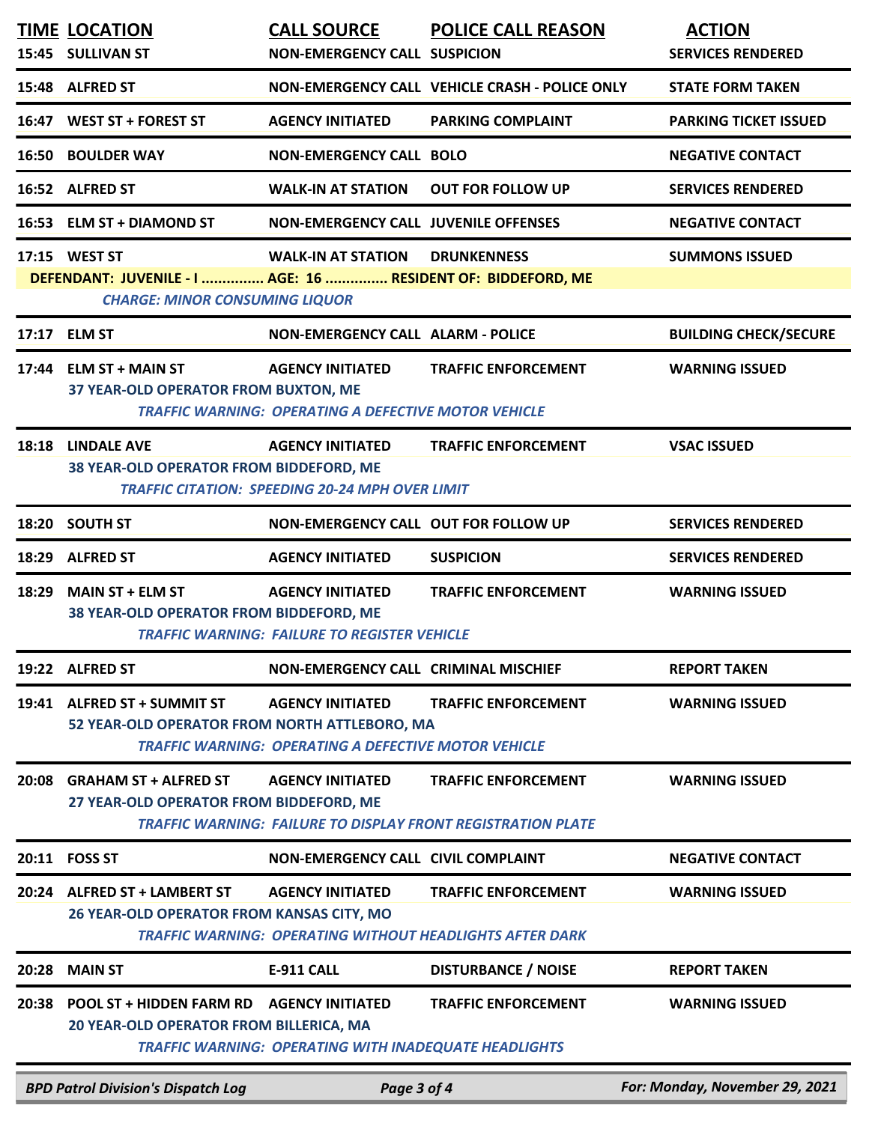|       | <b>TIME LOCATION</b><br>15:45 SULLIVAN ST                                                                              | <b>CALL SOURCE</b><br><b>NON-EMERGENCY CALL SUSPICION</b>                               | <b>POLICE CALL REASON</b>                                                                         | <b>ACTION</b><br><b>SERVICES RENDERED</b> |
|-------|------------------------------------------------------------------------------------------------------------------------|-----------------------------------------------------------------------------------------|---------------------------------------------------------------------------------------------------|-------------------------------------------|
|       | 15:48 ALFRED ST                                                                                                        |                                                                                         | NON-EMERGENCY CALL VEHICLE CRASH - POLICE ONLY                                                    | <b>STATE FORM TAKEN</b>                   |
|       | 16:47 WEST ST + FOREST ST                                                                                              | <b>AGENCY INITIATED</b>                                                                 | <b>PARKING COMPLAINT</b>                                                                          | <b>PARKING TICKET ISSUED</b>              |
|       | <b>16:50 BOULDER WAY</b>                                                                                               | <b>NON-EMERGENCY CALL BOLO</b>                                                          |                                                                                                   | <b>NEGATIVE CONTACT</b>                   |
|       | 16:52 ALFRED ST                                                                                                        | <b>WALK-IN AT STATION</b>                                                               | <b>OUT FOR FOLLOW UP</b>                                                                          | <b>SERVICES RENDERED</b>                  |
|       | 16:53 ELM ST + DIAMOND ST                                                                                              | <b>NON-EMERGENCY CALL JUVENILE OFFENSES</b>                                             |                                                                                                   | <b>NEGATIVE CONTACT</b>                   |
|       | 17:15 WEST ST<br>DEFENDANT: JUVENILE - I  AGE: 16  RESIDENT OF: BIDDEFORD, ME<br><b>CHARGE: MINOR CONSUMING LIQUOR</b> | <b>WALK-IN AT STATION</b>                                                               | <b>DRUNKENNESS</b>                                                                                | <b>SUMMONS ISSUED</b>                     |
|       | 17:17 ELM ST                                                                                                           | <b>NON-EMERGENCY CALL ALARM - POLICE</b>                                                |                                                                                                   | <b>BUILDING CHECK/SECURE</b>              |
|       | 17:44 ELM ST + MAIN ST<br>37 YEAR-OLD OPERATOR FROM BUXTON, ME                                                         | <b>AGENCY INITIATED</b><br><b>TRAFFIC WARNING: OPERATING A DEFECTIVE MOTOR VEHICLE</b>  | <b>TRAFFIC ENFORCEMENT</b>                                                                        | <b>WARNING ISSUED</b>                     |
|       | 18:18 LINDALE AVE<br>38 YEAR-OLD OPERATOR FROM BIDDEFORD, ME                                                           | <b>AGENCY INITIATED</b><br><b>TRAFFIC CITATION: SPEEDING 20-24 MPH OVER LIMIT</b>       | <b>TRAFFIC ENFORCEMENT</b>                                                                        | <b>VSAC ISSUED</b>                        |
|       | 18:20 SOUTH ST                                                                                                         | NON-EMERGENCY CALL OUT FOR FOLLOW UP                                                    |                                                                                                   | <b>SERVICES RENDERED</b>                  |
|       | 18:29 ALFRED ST                                                                                                        | <b>AGENCY INITIATED</b>                                                                 | <b>SUSPICION</b>                                                                                  | <b>SERVICES RENDERED</b>                  |
| 18:29 | <b>MAIN ST + ELM ST</b><br>38 YEAR-OLD OPERATOR FROM BIDDEFORD, ME                                                     | <b>AGENCY INITIATED</b><br><b>TRAFFIC WARNING: FAILURE TO REGISTER VEHICLE</b>          | <b>TRAFFIC ENFORCEMENT</b>                                                                        | <b>WARNING ISSUED</b>                     |
|       | 19:22 ALFRED ST                                                                                                        | NON-EMERGENCY CALL CRIMINAL MISCHIEF                                                    |                                                                                                   | <b>REPORT TAKEN</b>                       |
|       | 19:41 ALFRED ST + SUMMIT ST<br>52 YEAR-OLD OPERATOR FROM NORTH ATTLEBORO, MA                                           | <b>AGENCY INITIATED</b><br><b>TRAFFIC WARNING: OPERATING A DEFECTIVE MOTOR VEHICLE</b>  | <b>TRAFFIC ENFORCEMENT</b>                                                                        | <b>WARNING ISSUED</b>                     |
| 20:08 | <b>GRAHAM ST + ALFRED ST</b><br>27 YEAR-OLD OPERATOR FROM BIDDEFORD, ME                                                | <b>AGENCY INITIATED</b>                                                                 | <b>TRAFFIC ENFORCEMENT</b><br><b>TRAFFIC WARNING: FAILURE TO DISPLAY FRONT REGISTRATION PLATE</b> | <b>WARNING ISSUED</b>                     |
| 20:11 | <b>FOSS ST</b>                                                                                                         | <b>NON-EMERGENCY CALL CIVIL COMPLAINT</b>                                               |                                                                                                   | <b>NEGATIVE CONTACT</b>                   |
|       | 20:24 ALFRED ST + LAMBERT ST<br><b>26 YEAR-OLD OPERATOR FROM KANSAS CITY, MO</b>                                       | <b>AGENCY INITIATED</b>                                                                 | <b>TRAFFIC ENFORCEMENT</b><br><b>TRAFFIC WARNING: OPERATING WITHOUT HEADLIGHTS AFTER DARK</b>     | <b>WARNING ISSUED</b>                     |
| 20:28 | <b>MAIN ST</b>                                                                                                         | <b>E-911 CALL</b>                                                                       | <b>DISTURBANCE / NOISE</b>                                                                        | <b>REPORT TAKEN</b>                       |
| 20:38 | <b>POOL ST + HIDDEN FARM RD</b><br>20 YEAR-OLD OPERATOR FROM BILLERICA, MA                                             | <b>AGENCY INITIATED</b><br><b>TRAFFIC WARNING: OPERATING WITH INADEQUATE HEADLIGHTS</b> | <b>TRAFFIC ENFORCEMENT</b>                                                                        | <b>WARNING ISSUED</b>                     |
|       | <b>BPD Patrol Division's Dispatch Log</b>                                                                              | Page 3 of 4                                                                             |                                                                                                   | For: Monday, November 29, 2021            |